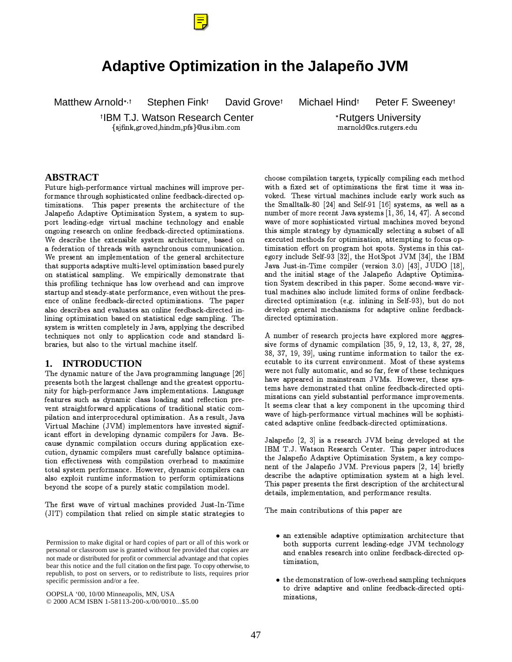

# Adaptive Optimization in the Jalapeño JVM

Matthew Arnold\*, t

David Grovet

Michael Hind<sup>t</sup>

Peter F. Sweenev<sup>t</sup>

<sup>†</sup>IBM T.J. Watson Research Center {sjfink,groved,hindm,pfs}@us.ibm.com

Stephen Fink<sup>t</sup>

\*Rutgers University marnold@cs.rutgers.edu

### **ABSTRACT**

Future high-performance virtual machines will improve performance through sophisticated online feedback-directed optimizations. This paper presents the architecture of the Jalapeño Adaptive Optimization System, a system to support leading-edge virtual machine technology and enable ongoing research on online feedback-directed optimizations. We describe the extensible system architecture, based on a federation of threads with asynchronous communication. We present an implementation of the general architecture that supports adaptive multi-level optimization based purely on statistical sampling. We empirically demonstrate that this profiling technique has low overhead and can improve startup and steady-state performance, even without the presence of online feedback-directed optimizations. The paper also describes and evaluates an online feedback-directed inlining optimization based on statistical edge sampling. The system is written completely in Java, applying the described techniques not only to application code and standard libraries, but also to the virtual machine itself.

#### **INTRODUCTION** 1.

The dynamic nature of the Java programming language [26] presents both the largest challenge and the greatest opportunity for high-performance Java implementations. Language features such as dynamic class loading and reflection prevent straightforward applications of traditional static compilation and interprocedural optimization. As a result, Java Virtual Machine (JVM) implementors have invested significant effort in developing dynamic compilers for Java. Because dynamic compilation occurs during application execution, dynamic compilers must carefully balance optimization effectiveness with compilation overhead to maximize total system performance. However, dynamic compilers can also exploit runtime information to perform optimizations beyond the scope of a purely static compilation model.

The first wave of virtual machines provided Just-In-Time (JIT) compilation that relied on simple static strategies to

Permission to make digital or hard copies of part or all of this work or personal or classroom use is granted without fee provided that copies are not made or distributed for profit or commercial advantage and that copies bear this notice and the full citation on the first page. To copy otherwise, to republish, to post on servers, or to redistribute to lists, requires prior specific permission and/or a fee.

OOPSLA '00, 10/00 Minneapolis, MN, USA © 2000 ACM ISBN 1-58113-200-x/00/0010...\$5.00

choose compilation targets, typically compiling each method with a fixed set of optimizations the first time it was invoked. These virtual machines include early work such as the Smalltalk-80 [24] and Self-91 [16] systems, as well as a number of more recent Java systems [1, 36, 14, 47]. A second wave of more sophisticated virtual machines moved beyond this simple strategy by dynamically selecting a subset of all executed methods for optimization, attempting to focus optimization effort on program hot spots. Systems in this category include Self-93 [32], the HotSpot JVM [34], the IBM Java Just-in-Time compiler (version 3.0) [43], JUDO [18], and the initial stage of the Jalapeño Adaptive Optimization System described in this paper. Some second-wave virtual machines also include limited forms of online feedbackdirected optimization (e.g. inlining in Self-93), but do not develop general mechanisms for adaptive online feedbackdirected optimization.

A number of research projects have explored more aggressive forms of dynamic compilation [35, 9, 12, 13, 8, 27, 28, 38, 37, 19, 39], using runtime information to tailor the executable to its current environment. Most of these systems were not fully automatic, and so far, few of these techniques have appeared in mainstream JVMs. However, these systems have demonstrated that online feedback-directed optimizations can yield substantial performance improvements. It seems clear that a key component in the upcoming third wave of high-performance virtual machines will be sophisticated adaptive online feedback-directed optimizations.

Jalapeño [2, 3] is a research JVM being developed at the IBM T.J. Watson Research Center. This paper introduces the Jalapeño Adaptive Optimization System, a key component of the Jalapeño JVM. Previous papers [2, 14] briefly describe the adaptive optimization system at a high level. This paper presents the first description of the architectural details, implementation, and performance results.

The main contributions of this paper are

- an extensible adaptive optimization architecture that both supports current leading-edge JVM technology and enables research into online feedback directed optimization,
- the demonstration of low-overhead sampling techniques to drive adaptive and online feedback-directed optimizations,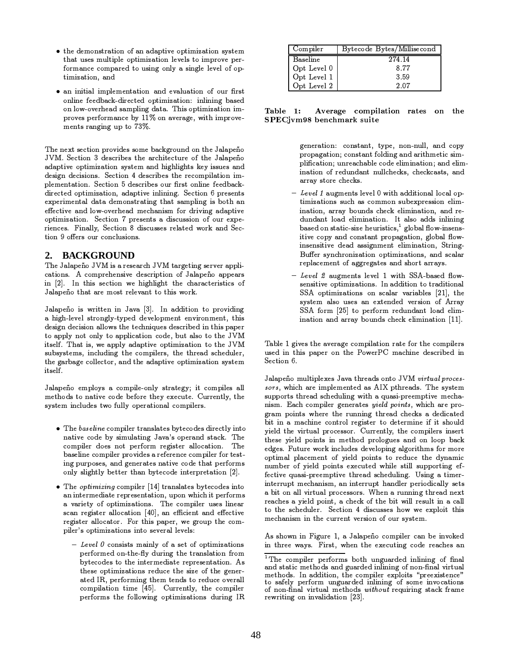- the demonstration of an adaptive optimization system ±b=b :.... ::::lb::!- :::b::::==b:::: !:::!: b :::::::::: :: ::: \$§ª¦1«¨µ,¤Qµ§¦Q®«ª¤,¥I¢2§Q²©8¬¨\*¶X§¨³±X«C©8¬¨¶³¤Q³¤¯¤-³B§j§®´ timization, and
- ¡K«¨L¬¨¬¢8¬«³4¬¦@®³¤,¦1¤-¨¢2«¢8¬§¨[«¨\*¥Z¤,¯«³²«¢8¬§¨p§;§²ª:¸ª©2¢ online feedback-directed optimization: inlining based on low-overhead sampling data. This optimization im-®ª§¯'¤,©®¤-ª2A§ª¦:«¨\*µ,¤4¹±D¿¿Ài§¨D«¯¤-ª«'¶¤·¼?¬¢8£\¬¦@®ª§¯¤´ ¦:¤-¨¢2©?ª«¨¶¬¨¶\²®X¢2§ÁÂ6ÀC½

 $\mathbf{r}$  is a complete that is a constraint of a constraint of a set of a late of a late of a constraint of  $\mathbf{r}$ JVM. Section 3 describes the architecture of the Jalapeño adaptive optimization system and highlights key issues and ¥¤,©8¬¶¨L¥¤µ-¬©8¬§¨©,½CÈ6¤,µ,¢8¬§¨KÊC¥¤,©2µ-ª2¬¹¤,©@¢8£¤Qª¤,µ,§'¦Q®¬³«'¢8¬§¨L¬¦Q´ ∞lene en te tre et veztren la alemanata en era trant en lan a te estatue els.  $\#$  and  $\#$  are the set of the source of the solution of the set of  $\#$  and  $\#$  and  $\#$   $\#$ °2000° 2008) are kal alaka alama ang khina at klasik agamatan na kakik sin ¤Î¤,µ,¢8¬¯'¤!«¨¥X³§¼?´E§¯¤-ª2£¤,«'¥d¦1¤,µ £«¨¬©2¦\$§ª@¥6ª2¬¯¬¨¶J«'¥«®\*¢8¬¯'¤ 。~~#fwyfwr#frw \ ce#few / warerse#o - #frwysafew s# siw sawr asso = a = Websetter V = = beson, V also = a = a = a = a = a = a = a = v = = a = v = = c = a = 2 = = = = = = = ¢8¬§¨IÑ:§ÎW¤-ª©4§²ªeµ,§¨\*µ-³²©8¬§¨©,½

## **2. BACKGROUND**

 $\mathbf{a}^T$  . It is a contract that  $\mathbf{a}^T$  is a contract the contract of  $\mathbf{a}^T$  . The contract of  $\mathbf{a}^T$ µ«¢8¬§¨©,½IÒµ,§'¦Q®ª¤-£\*¤¨\*©8¬¯'¤X¥¤,©2µª2¬®\*¢8¬§¨Y§eÄ6«³«®¤6Ũ§I«®®¤,«ª© in  $[2]$ . In this section we highlight the characteristics of islaacsa a bast aas aal aclaasad ta this aasade

Ä6«³«®¤6Ũ\*§L¬©!¼?ª2¬¢2¢2¤-¨y¬¨pÄ6«¯«yÓÂÕE½ÖA¨Y«'¥¥6¬¢8¬§¨¢2§J®ª§¯¬¥U¬¨¶ ≈ letable legesl charges and as al alcordious such concernances and history and the set ¥¤,©8¬¶¨!¥¤,µ-¬©8¬§¨X«³³§¼>©?¢8£¤>¢2¤,µ2£¨¬×²\*¤©?¥¤©2µ-ª2¬¹¤,¥C¬¨C¢8£¬©<®«®¤-<sup>ª</sup> to apply not only to application code, but also to the JVM itself. That is, we apply adaptive optimization to the JVM eseble en en el de la delle della consectione della della della cola della della della the garbage collector, and the adaptive optimization system itself.

Jalapeño employs a compile-only strategy; it compiles all ¦1¤,¢8£\*§6¥©4¢2§@¨\*«'¢8¬¯¤@µ,§6¥¤;¹¤-A§ª¤;¢8£¤,±!¤-Ã¤µ-²\*¢2¤'½?Ù²ª2ª¤-¨¢8³±·¢8£¤ ©2±6©2¢2¤¦Ú¬¨µ-³²¥¤,©;¢E¼?§;²³³±X§®¤-ª«'¢8¬§¨«³Bµ,§¦Q®¬³¤-ª©,½

- ¡K¾?£\*¤>ÛÜÝ,Þ,ßàáWÞcµ,§¦@®¬³¤-ªB¢8ª«¨©8³«¢2¤©c¹±6¢2¤,µ,§6¥¤,©<¥U¬ª¤µ,¢8³±4¬¨¢2§ ¨\*«'¢8¬¯¤Cµ,§6¥¤Q¹±X©8¬¦;²³«'¢8¬¨\*¶KÄ6«¯«â ©;§®W¤-ª«¨¥K©2¢2«µ2º½:¾?£¤ µ,§¦@®¬³¤-ªa¥§6¤,©!¨\*§'¢!®¤-ª2\$§ª¦ãª¤,¶¬©2¢2¤-ªK«³³§6µ,«¢8¬§¨c½¾?£¤ ¹\*«'©2¤-³¬¨¤)µ§¦Q®¬³¤-ª<®ª§¯¬¥¤,©j«ª¤-\$¤ª¤-¨\*µ¤µ,§'¦Q®¬³¤-ªA§ªf¢2¤,©2¢8´ ¬¨\*¶;®²ª2®§'©2¤,©,·\*«¨\*¥D¶¤-¨¤-ª«'¢2¤,©¨«¢8¬¯¤;µ§6¥¤e¢8£\*«'¢®¤-ª2\$§ª¦:© §¨³±!©8³¬¶£¢8³±!¹¤,¢2¢2¤-ª¢8£\*«¨!¹±6¢2¤,µ,§6¥¤;¬¨¢2¤-ª2®ª¤¢2«¢8¬§¨SÓÔ,Õ8½
- ¡K¾?£\*¤@ä-åfæàç@àèàgáé4µ,§¦@®¬³¤-ª@Ó¿,ÊÕ\*¢8ª«¨\*©8³«'¢2¤,©?¹±6¢2¤,µ,§6¥¤,©¬¨¢2§ «¨;¬¨¢2¤-ª¦1¤,¥U¬«'¢2¤ª¤-®ª¤,©2¤-¨¢2«'¢8¬§¨f·U²®§¨:¼?£¬µ £;¬¢®¤-ª2\$§ª¦:© • Josef Låes och Leskenberges i ka songenelse forst leg som at t ©2µ,«¨Iª¤,¶¬©2¢2¤-ª:«³³§6µ,«¢8¬§¨iÓÊ'êÕE·«¨L¤ëCµ-¬¤-¨¢@«¨¥K¤-Τµ,¢8¬¯¤ register allocator. For this paper, we group the com-®¬³¤ªâ ©e§®¢8¬¦Q¬°,«¢8¬§¨\*©;¬¨¢2§C©2¤,¯¤ª«³c³¤¯¤-³©,»
	- $-Ievel$  0 consists mainly of a set of optimizations ®¤-ª2A§ª¦:¤,¥X§¨´E¢8£¤-´\$ð\*±D¥U²ª2¬¨¶X¢8£\*¤;¢8ª«¨\*©8³«'¢8¬§¨Kª§'¦ ¹±6¢2¤,µ,§6¥¤,©e¢2§Q¢8£¤4¬¨¢2¤-ª¦:¤,¥6¬«¢2¤@ª¤-®ª¤©2¤-¨¢2«¢8¬§¨c½BÒ4© ¢8£¤,©2¤:§®¢8¬¦Q¬°,«'¢8¬§¨©Qª¤,¥6²\*µ¤:¢8£\*¤1©8¬°,¤:§B¢8£¤:¶¤-¨¤-ª2´ «¢2¤¥!Ö\$ñ;·U®W¤-ª2\$§ª¦@¬¨\*¶C¢8£¤,¦¢2¤-¨¥©)¢2§;ª¤,¥6²\*µ¤4§¯¤-ª«³³ compilation time [45]. Currently, the compiler ®¤-ª2A§ª¦:©D¢8£\*¤X\$§³³§¼?¬¨¶Y§®¢8¬¦Q¬°,«¢8¬§¨\*©a¥U²ª2¬¨\*¶SÖñ

| Compiler    | Bytecode Bytes/Millisecond |
|-------------|----------------------------|
| Baseline    | 274.14                     |
| Opt Level 0 | 8.77                       |
| Opt Level 1 | 3.59                       |
| Opt Level 2 | 2.07                       |

Table 1: ú \$ù÷,÷,ú cú SPECjvm98 benchmark suite

¶¤-¨¤-ª«¢8¬§¨c»Sµ,§¨©2¢2«¨¢,·@¢8±®W¤·4¨§¨´¨6²³³\$·:«¨\*¥pµ,§®± propagation; constant folding and arithmetic sim-®³¬¸µ,«¢8¬§¨cØ²¨ª¤,«'µ £«¹³¤>µ,§6¥¤j¤-³¬¦Q¬¨«¢8¬§¨<Ø«¨¥Q¤³¬¦Q´ ¬¨\*«'¢8¬§¨Z§?ª¤¥U²¨\*¥«¨¢:¨6²³³µ £¤,µ2º©,·?µ2£\*¤µ ºmµ,«©2¢2©,·<«¨\*¥ array store checks.

- ióùòl I an greata iorraili:rrith additional logal an ¢8¬¦Q¬°,«¢8¬§¨\*©1©8²\*µ2£K«'©;µ,§¦1¦:§¨a©8²¹W¤-Ã6®ª¤©2©8¬§¨Z¤-³¬¦Q´ ¬¨\*«'¢8¬§¨f·«ª2ª«±!¹§²¨\*¥©@µ £¤,µ2ºK¤-³¬¦@¬¨\*«'¢8¬§¨f·?«¨¥Xª¤-´ ¥U²¨\*¥«¨¢C³§«'¥y¤-³¬¦Q¬¨«¢8¬§¨f½iÖ\$¢:«³©2§a«¥¥©:¬¨³¬¨¬¨\*¶ ¹\*«'©2¤,¥;§¨@©2¢2«'¢8¬µ-´E©8¬°,¤?£\*¤-²ª2¬©2¢8¬µ,©,· +?¶³§¹«³ð§¼?´\$¬¨©2¤-¨\*©8´ itive copy and constant propagation, global flow-¬¨\*©2¤-¨©8¬¢8¬¯¤a¥¤,«'¥y«'©2©8¬¶¨¦:¤-¨¢!¤³¬¦Q¬¨\*«'¢8¬§¨c·bÈU¢8ª2¬¨¶´ ò²ÎW¤-ª@©2±¨\*µ2£ª§¨¬°,«¢8¬g§¨S§®¢8¬¦Q¬°,«¢8¬§¨\*©,·B«¨¥K©2µ,«³«ª ª¤-®³«'µ,¤,¦:¤¨¢4§j«'¶¶ª¤,¶«'¢2¤,©4«¨\*¥X©8£§ª¢>«ª2ª«±6©,½
- توجه الكامل التاريخي المعدد المحمد المعددة الأنفيذي المنتشر المنتشر المنتشر المنتشر المنتشر المستقرر المستقرر ا ©2¤-¨\*©8¬¢8¬¯'¤4§®\*¢8¬¦Q¬°«¢8¬§¨©,½eÖA¨«¥¥U¬¢8¬§¨X¢2§4¢8ª«'¥U¬¢8¬§¨\*«³  $SSA$  optimizations on scalar variables [21], the ©2±6©2¢2¤,¦ «³©2§L²\*©2¤©J«¨[¤-Ã¢2¤¨\*¥¤,¥[¯'¤-ª©8¬§¨i§:Ò>ª2ª«± ै े । अन्य प्रस्ता । अस्थिति अञ्चल-करूपराज्यस्य अन्य अन्य अस्थिति । अत्र अन्य अस्थिति । अत्र अस्थिति । ¬¨\*«'¢8¬§¨a«¨¥!«ª2ª«±C¹§²¨\*¥©4µ2£¤,µ ºk¤-³¬¦Q¬¨«¢8¬§¨YÓ.¿'¿-ÕE½

 $\mathbf{a}^*$  and  $\mathbf{a}^*$  are the construction of  $\mathbf{a}^*$  and  $\mathbf{a}^*$  are the construction of  $\mathbf{a}^*$ ²©2¤,¥d¬¨p¢8£¬©:®\*«®¤-ªD§¨S¢8£\*¤/.<§¼?¤-ª0.BÙ¦:«'µ £¬¨\*¤I¥¤,©2µ-ª2¬¹¤,¥y¬¨ Section 6.

islaas oo a aastikaalaassa jaan khattada ooks illihi oogéovalaasta t °° are a conferent and the second control of a conference of the control of the constant of the control of the control of the control of the control of the control of the control of the control of the control of the contr supports thread scheduling with a quasi-preemptive mecha-¨¬©2¦!½9j«µ2£Iµ,§¦Q®¬³¤-ª1¶¤-¨¤-ª«'¢2¤,©;:à\$Þ,ß=<4åäàáæÝ·¼?£¬µ £a«ª¤;®ª§´ avecese os subjects and a local contract of the second the selection of all and second and the second of the s hash ta — an chlata candari aratakan ka dahaannan ah shinkanid d ±¬¤-³¥L¢8£¤Q¯¬ª¢8²«³?®ª§6µ,¤,©2©2§ª½CÙ²ª2ª¤-¨¢8³±·<¢8£¤Qµ§¦Q®¬³¤-ª©Q¬¨©2¤-ª¢ ¢8£¤,©2¤X±¬¤-³¥Y®§¬¨¢2©!¬¨S¦:¤,¢8£§6¥y®ª§³§¶²¤,©X«¨\*¥Y§¨y³§6§®p¹«µ2º  $\bullet$  alast in the second second and set of second constraint in the second lease of the second control. §®¢8¬¦:«³;®³«'µ,¤,¦:¤-¨¢X§:±¬¤³¥ ®§¬¨¢2©X¢2§Jª¤,¥6²\*µ¤K¢8£\*¤X¥±¨«¦Q¬µ ي الأوراد الأوروبيون ومعروفا القطاعة المتواطنين والمتواطنين المتواطنين المقدم المتواطنين المتواطنين المتواطنين ة من المساوية المساوية التي توجه المساوية المساوية المساوية والتي توجه المساوية المساوية المساوية المساوية الم ¬¨¢2¤-ª2ª2²®\*¢e¦:¤,µ2£\*«¨¬©2¦D·«¨!¬¨¢2¤ª2ª2²®¢4£\*«¨\*¥6³¤-ªe®¤-ª2¬§6¥6¬µ,«³³g±J©2¤¢2©  $\sim$  both and  $\sim$  11 approximate a second construction of the contribution of  $\sim$  and  $\sim$  and  $\sim$  $\cdots$  . At a constraint to the set of the set of the set of the constraints of the constraints of the constraints of the constraints of the constraints of the constraints of the constraints of the constraints of the const Å≥ Åbs sebelding Vienbren. A alrennen benn not som lett til til ¦:¤,µ2£«¨¬©2¦ ¬¨X¢8£¤Qµ²ª2ª¤-¨¢>¯'¤-ª©8¬§¨I§j§²ª;©2±6©2¢2¤,¦!½

Ò4©e©8£\*§¼?¨I¬¨LÏc¬¶²ª¤!¿·f«CÄ6«³«®¤6Ũ§Xµ,§¦Q®¬³¤-ªCµ«¨I¹¤b¬¨¯'§ºm¤,¥ ¬¨Z¢8£ª¤¤!¼?«±6©,½KÏc¬ª©2¢,·B¼?£\*¤-¨Ì¢8£\*¤D¤-Ã¤,µ-²¢8¬¨\*¶aµ,§6¥¤!ª¤«µ2£\*¤,©1«¨

 $\bullet$  some some state of the state of the some second constraints of the some state of the some source of the some +-¾?£¤Kµ,§'¦Q®¬³¤ªJ®¤ª2\$§ª¦:©!¹W§¢8£[²¨\*¶²\*«ª¥¤¥o¬¨³¬¨¬¨¶p§:¸¨«³ and static methods and guarded inlining of non-final virtual ¦:¤,¢8£§6¥©,½@ÖA¨a«¥¥U¬¢8¬§¨c·q¢8£\*¤:µ§¦Q®¬³¤-ª1¤-Ã6®³§¬¢2©BA\$®ª¤¤-Ã6¬©2¢2¤-¨µ,¤DC ¢2§L©2«\$¤³±d®¤-ª2A§ª¦ã²¨\*¶²\*«ª¥¤¥ ¬¨³¬¨¬¨¶o§@©2§¦:¤X¬¨¯§6µ,«'¢8¬§¨© rewriting on invalidation [23].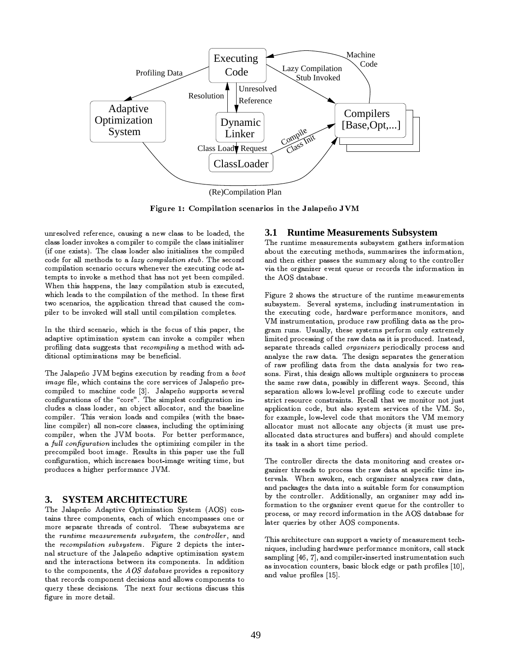

Figure 1: Compilation scenarios in the Jalapeño JVM

unresolved reference, causing a new class to be loaded, the class loader invokes a compiler to compile the class initializer (if one exists). The class loader also initializes the compiled code for all methods to a lazy compilation stub. The second compilation scenario occurs whenever the executing code attempts to invoke a method that has not yet been compiled. When this happens, the lazy compilation stub is executed, which leads to the compilation of the method. In these first two scenarios, the application thread that caused the compiler to be invoked will stall until compilation completes.

In the third scenario, which is the focus of this paper, the adaptive optimization system can invoke a compiler when profiling data suggests that recompiling a method with additional optimizations may be beneficial.

The Jalapeño JVM begins execution by reading from a boot image file, which contains the core services of Jalapeño precompiled to machine code [3]. Jalapeño supports several configurations of the "core". The simplest configuration includes a class loader, an object allocator, and the baseline compiler. This version loads and compiles (with the baseline compiler) all non-core classes, including the optimizing compiler, when the JVM boots. For better performance, a full configuration includes the optimizing compiler in the precompiled boot image. Results in this paper use the full configuration, which increases boot-image writing time, but produces a higher performance JVM.

#### **SYSTEM ARCHITECTURE** 3.

The Jalapeño Adaptive Optimization System (AOS) contains three components, each of which encompasses one or more separate threads of control. These subsystems are the runtime measurements subsystem, the controller, and the recompilation subsystem. Figure 2 depicts the internal structure of the Jalapeño adaptive optimization system and the interactions between its components. In addition to the components, the  $AOS$  database provides a repository that records component decisions and allows components to query these decisions. The next four sections discuss this figure in more detail.

#### **Runtime Measurements Subsystem** 3.1

The runtime measurements subsystem gathers information about the executing methods, summarizes the information, and then either passes the summary along to the controller via the organizer event queue or records the information in the AOS database.

Figure 2 shows the structure of the runtime measurements subsystem. Several systems, including instrumentation in the executing code, hardware performance monitors, and VM instrumentation, produce raw profiling data as the program runs. Usually, these systems perform only extremely limited processing of the raw data as it is produced. Instead, separate threads called *organizers* periodically process and analyze the raw data. The design separates the generation of raw profiling data from the data analysis for two reasons. First, this design allows multiple organizers to process the same raw data, possibly in different ways. Second, this separation allows low-level profiling code to execute under strict resource constraints. Recall that we monitor not just application code, but also system services of the VM. So, for example, low-level code that monitors the VM memory allocator must not allocate any objects (it must use preallocated data structures and buffers) and should complete its task in a short time period.

The controller directs the data monitoring and creates organizer threads to process the raw data at specific time intervals. When awoken, each organizer analyzes raw data, and packages the data into a suitable form for consumption by the controller. Additionally, an organizer may add information to the organizer event queue for the controller to process, or may record information in the AOS database for later queries by other AOS components.

This architecture can support a variety of measurement techniques, including hardware performance monitors, call stack sampling [46, 7], and compiler-inserted instrumentation such as invocation counters, basic block edge or path profiles [10], and value profiles [15].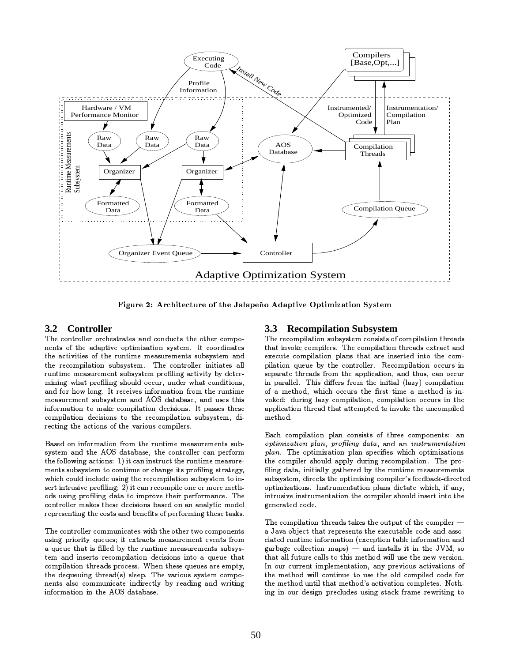

Figure 2: Architecture of the Jalapeño Adaptive Optimization System

## 3.2 Controller

The controller orchestrates and conducts the other components of the adaptive optimization system. It coordinates the activities of the runtime measurements subsystem and the recompilation subsystem. The controller initiates all runtime measurement subsystem profiling activity by determining what profiling should occur, under what conditions, and for how long. It receives information from the runtime measurement subsystem and AOS database, and uses this information to make compilation decisions. It passes these compilation decisions to the recompilation subsystem, directing the actions of the various compilers.

Based on information from the runtime measurements subsystem and the AOS database, the controller can perform the following actions: 1) it can instruct the runtime measurements subsystem to continue or change its profiling strategy, which could include using the recompilation subsystem to insert intrusive profiling; 2) it can recompile one or more methods using profiling data to improve their performance. The controller makes these decisions based on an analytic model representing the costs and benefits of performing these tasks.

The controller communicates with the other two components using priority queues; it extracts measurement events from a queue that is filled by the runtime measurements subsystem and inserts recompilation decisions into a queue that compilation threads process. When these queues are empty, the dequeuing thread(s) sleep. The various system components also communicate indirectly by reading and writing information in the AOS database.

### **Recompilation Subsystem**  $3.3$

The recompilation subsystem consists of compilation threads that invoke compilers. The compilation threads extract and execute compilation plans that are inserted into the compilation queue by the controller. Recompilation occurs in separate threads from the application, and thus, can occur in parallel. This differs from the initial (lazy) compilation of a method, which occurs the first time a method is invoked: during lazy compilation, compilation occurs in the application thread that attempted to invoke the uncompiled method.

Each compilation plan consists of three components: an optimization plan, profiling data, and an instrumentation plan. The optimization plan specifies which optimizations the compiler should apply during recompilation. The profiling data, initially gathered by the runtime measurements subsystem, directs the optimizing compiler's feedback-directed optimizations. Instrumentation plans dictate which, if any, intrusive instrumentation the compiler should insert into the generated code.

The compilation threads takes the output of the compiler a Java object that represents the executable code and associated runtime information (exception table information and garbage collection maps)  $-$  and installs it in the JVM, so that all future calls to this method will use the new version. In our current implementation, any previous activations of the method will continue to use the old compiled code for the method until that method's activation completes. Nothing in our design precludes using stack frame rewriting to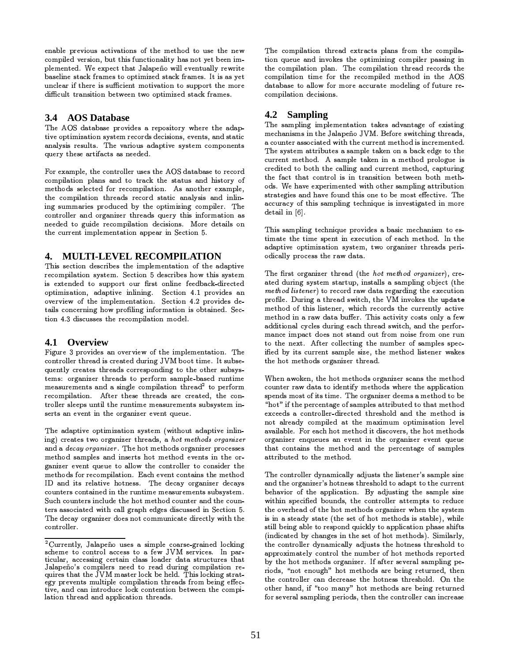enable previous activations of the method to use the new compiled version, but this functionality has not yet been implemented. We expect that Jalapeño will eventually rewrite baseline stack frames to optimized stack frames. It is as yet unclear if there is sufficient motivation to support the more difficult transition between two optimized stack frames.

## 3.4 AOS Database

The AOS database provides a repository where the adaptive optimization system records decisions, events, and static analysis results. The various adaptive system components query these artifacts as needed.

For example, the controller uses the AOS database to record compilation plans and to track the status and history of methods selected for recompilation. As another example, the compilation threads record static analysis and inlining summaries produced by the optimizing compiler. The controller and organizer threads query this information as needed to guide recompilation decisions. More details on the current implementation appear in Section 5.

### $\mathbf{4}$ . **MULTI-LEVEL RECOMPILATION**

This section describes the implementation of the adaptive recompilation system. Section 5 describes how this system is extended to support our first online feedback-directed optimization, adaptive inlining. Section 4.1 provides an overview of the implementation. Section 4.2 provides details concerning how profiling information is obtained. Section 4.3 discusses the recompilation model.

## 4.1 Overview

Figure 3 provides an overview of the implementation. The controller thread is created during JVM boot time. It subsequently creates threads corresponding to the other subsystems: organizer threads to perform sample-based runtime measurements and a single compilation thread<sup>2</sup> to perform recompilation. After these threads are created, the controller sleeps until the runtime measurements subsystem inserts an event in the organizer event queue.

The adaptive optimization system (without adaptive inlining) creates two organizer threads, a hot methods organizer and a *decay organizer*. The hot methods organizer processes method samples and inserts hot method events in the organizer event queue to allow the controller to consider the methods for recompilation. Each event contains the method ID and its relative hotness. The decay organizer decays counters contained in the runtime measurements subsystem. Such counters include the hot method counter and the counters associated with call graph edges discussed in Section 5. The decay organizer does not communicate directly with the controller.

The compilation thread extracts plans from the compilation queue and invokes the optimizing compiler passing in the compilation plan. The compilation thread records the compilation time for the recompiled method in the AOS database to allow for more accurate modeling of future recompilation decisions.

## 4.2 Sampling

The sampling implementation takes advantage of existing mechanisms in the Jalapeño JVM. Before switching threads, a counter associated with the current method is incremented. The system attributes a sample taken on a back edge to the current method. A sample taken in a method prologue is credited to both the calling and current method, capturing the fact that control is in transition between both methods. We have experimented with other sampling attribution strategies and have found this one to be most effective. The accuracy of this sampling technique is investigated in more detail in  $[6]$ .

This sampling technique provides a basic mechanism to estimate the time spent in execution of each method. In the adaptive optimization system, two organizer threads periodically process the raw data.

The first organizer thread (the hot method organizer), created during system startup, installs a sampling object (the method listener) to record raw data regarding the execution profile. During a thread switch, the VM invokes the update method of this listener, which records the currently active method in a raw data buffer. This activity costs only a few additional cycles during each thread switch, and the performance impact does not stand out from noise from one run to the next. After collecting the number of samples specified by its current sample size, the method listener wakes the hot methods organizer thread.

When awoken, the hot methods organizer scans the method counter raw data to identify methods where the application spends most of its time. The organizer deems a method to be "hot" if the percentage of samples attributed to that method exceeds a controller-directed threshold and the method is not already compiled at the maximum optimization level available. For each hot method it discovers, the hot methods organizer enqueues an event in the organizer event queue that contains the method and the percentage of samples attributed to the method.

The controller dynamically adjusts the listener's sample size and the organizer's hotness threshold to adapt to the current behavior of the application. By adjusting the sample size within specified bounds, the controller attempts to reduce the overhead of the hot methods organizer when the system is in a steady state (the set of hot methods is stable), while still being able to respond quickly to application phase shifts (indicated by changes in the set of hot methods). Similarly, the controller dynamically adjusts the hotness threshold to approximately control the number of hot methods reported by the hot methods organizer. If after several sampling periods, "not enough" hot methods are being returned, then the controller can decrease the hotness threshold. On the other hand, if "too many" hot methods are being returned for several sampling periods, then the controller can increase

 $^{2}$ Currently, Jalapeño uses a simple coarse-grained locking scheme to control access to a few JVM services. In particular, accessing certain class loader data structures that Jalapeño's compilers need to read during compilation requires that the JVM master lock be held. This locking strategy prevents multiple compilation threads from being effective, and can introduce lock contention between the compilation thread and application threads.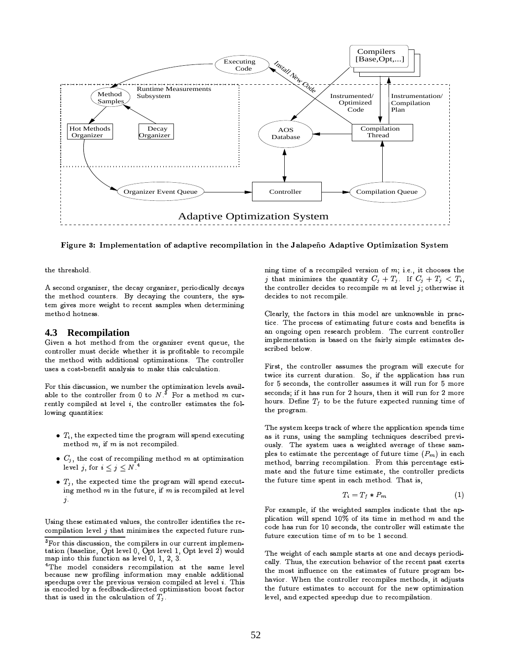

Figure 3: Implementation of adaptive recompilation in the Jalapeño Adaptive Optimization System

the threshold.

A second organizer, the decay organizer, periodically decays the method counters. By decaying the counters, the system gives more weight to recent samples when determining method hotness.

#### 4.3 **Recompilation**

Given a hot method from the organizer event queue, the controller must decide whether it is profitable to recompile the method with additional optimizations. The controller uses a cost-benefit analysis to make this calculation.

For this discussion, we number the optimization levels available to the controller from 0 to  $N$ <sup>3</sup>. For a method m currently compiled at level  $i$ , the controller estimates the following quantities:

- $\bullet$   $T_i$ , the expected time the program will spend executing method  $m$ , if  $m$  is not recompiled.
- $\bullet$   $C_j$ , the cost of recompiling method m at optimization level j, for  $i \leq j \leq N$ .<sup>4</sup>
- $T_j$ , the expected time the program will spend executing method  $m$  in the future, if  $m$  is recompiled at level  $j$  .

Using these estimated values, the controller identifies the recompilation level  $j$  that minimizes the expected future running time of a recompiled version of  $m$ ; i.e., it chooses the j that minimizes the quantity  $C_j + T_j$ . If  $C_j + T_j < T_i$ , the controller decides to recompile  $m$  at level  $j$ ; otherwise it decides to not recompile.

Clearly, the factors in this model are unknowable in practice. The process of estimating future costs and benefits is an ongoing open research problem. The current controller implementation is based on the fairly simple estimates described below.

First, the controller assumes the program will execute for twice its current duration. So, if the application has run for 5 seconds, the controller assumes it will run for 5 more seconds; if it has run for 2 hours, then it will run for 2 more hours. Define  $T_f$  to be the future expected running time of the program.

The system keeps track of where the application spends time as it runs, using the sampling techniques described previously. The system uses a weighted average of these samples to estimate the percentage of future time  $(P_m)$  in each method, barring recompilation. From this percentage estimate and the future time estimate, the controller predicts the future time spent in each method. That is,

$$
T_i = T_f * P_m \tag{1}
$$

For example, if the weighted samples indicate that the application will spend  $10\%$  of its time in method  $m$  and the code has run for 10 seconds, the controller will estimate the future execution time of  $m$  to be 1 second.

The weight of each sample starts at one and decays periodically. Thus, the execution behavior of the recent past exerts the most influence on the estimates of future program behavior. When the controller recompiles methods, it adjusts the future estimates to account for the new optimization level, and expected speedup due to recompilation.

<sup>&</sup>lt;sup>3</sup>For this discussion, the compilers in our current implementation (baseline, Opt level 0, Opt level 1, Opt level 2) would map into this function as level 0, 1, 2, 3.

<sup>&</sup>lt;sup>4</sup>The model considers recompilation at the same level because new profiling information may enable additional speedups over the previous version compiled at level i. This is encoded by a feedback-directed optimization boost factor that is used in the calculation of  $T_j$ .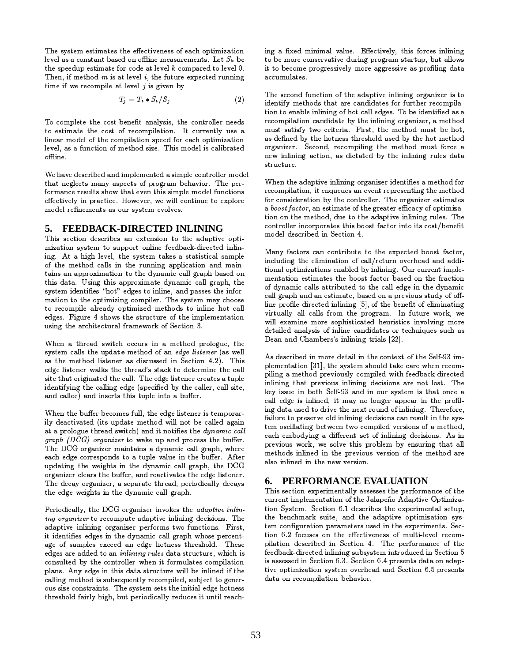The system estimates the effectiveness of each optimization level as a constant based on offline measurements. Let  $S_k$  be the speedup estimate for code at level  $k$  compared to level 0. Then, if method  $m$  is at level  $i$ , the future expected running time if we recompile at level  $j$  is given by

$$
T_j = T_i * S_i / S_j \tag{2}
$$

To complete the cost-benefit analysis, the controller needs to estimate the cost of recompilation. It currently use a linear model of the compilation speed for each optimization level, as a function of method size. This model is calibrated offline

We have described and implemented a simple controller model that neglects many aspects of program behavior. The performance results show that even this simple model functions effectively in practice. However, we will continue to explore model refinements as our system evolves.

## 5. FEEDBACK-DIRECTED INLINING

This section describes an extension to the adaptive optimization system to support online feedback-directed inlining. At a high level, the system takes a statistical sample of the method calls in the running application and maintains an approximation to the dynamic call graph based on this data. Using this approximate dynamic call graph, the system identifies "hot" edges to inline, and passes the information to the optimizing compiler. The system may choose to recompile already optimized methods to inline hot call edges. Figure 4 shows the structure of the implementation using the architectural framework of Section 3.

When a thread switch occurs in a method prologue, the system calls the update method of an edge listener (as well as the method listener as discussed in Section 4.2). This edge listener walks the thread's stack to determine the call site that originated the call. The edge listener creates a tuple identifying the calling edge (specified by the caller, call site, and callee) and inserts this tuple into a buffer.

When the buffer becomes full, the edge listener is temporarily deactivated (its update method will not be called again at a prologue thread switch) and it notifies the *dynamic call* graph  $(DCG)$  organizer to wake up and process the buffer. The DCG organizer maintains a dynamic call graph, where each edge corresponds to a tuple value in the buffer. After updating the weights in the dynamic call graph, the DCG organizer clears the buffer, and reactivates the edge listener. The decay organizer, a separate thread, periodically decays the edge weights in the dynamic call graph.

Periodically, the DCG organizer invokes the adaptive inlining organizer to recompute adaptive inlining decisions. The adaptive inlining organizer performs two functions. First, it identifies edges in the dynamic call graph whose percentage of samples exceed an edge hotness threshold. These edges are added to an *inlining rules* data structure, which is consulted by the controller when it formulates compilation plans. Any edge in this data structure will be inlined if the calling method is subsequently recompiled, subject to generous size constraints. The system sets the initial edge hotness threshold fairly high, but periodically reduces it until reaching a fixed minimal value. Effectively, this forces inlining to be more conservative during program startup, but allows it to become progressively more aggressive as profiling data accumulates.

The second function of the adaptive inlining organizer is to identify methods that are candidates for further recompilation to enable inlining of hot call edges. To be identified as a recompilation candidate by the inlining organizer, a method must satisfy two criteria. First, the method must be hot, as defined by the hotness threshold used by the hot method organizer. Second, recompiling the method must force a new inlining action, as dictated by the inlining rules data structure

When the adaptive inlining organizer identifies a method for recompilation, it enqueues an event representing the method for consideration by the controller. The organizer estimates a boost factor, an estimate of the greater efficacy of optimization on the method, due to the adaptive inlining rules. The controller incorporates this boost factor into its cost/benefit model described in Section 4.

Many factors can contribute to the expected boost factor. including the elimination of call/return overhead and additional optimizations enabled by inlining. Our current implementation estimates the boost factor based on the fraction of dynamic calls attributed to the call edge in the dynamic call graph and an estimate, based on a previous study of offline profile directed inlining [5], of the benefit of eliminating virtually all calls from the program. In future work, we will examine more sophisticated heuristics involving more detailed analysis of inline candidates or techniques such as Dean and Chambers's inlining trials [22].

As described in more detail in the context of the Self-93 implementation [31], the system should take care when recompiling a method previously compiled with feedback-directed inlining that previous inlining decisions are not lost. The key issue in both Self-93 and in our system is that once a call edge is inlined, it may no longer appear in the profiling data used to drive the next round of inlining. Therefore, failure to preserve old inlining decisions can result in the system oscillating between two compiled versions of a method, each embodying a different set of inlining decisions. As in previous work, we solve this problem by ensuring that all methods inlined in the previous version of the method are also inlined in the new version.

## 6. PERFORMANCE EVALUATION

This section experimentally assesses the performance of the current implementation of the Jalapeño Adaptive Optimization System. Section 6.1 describes the experimental setup, the benchmark suite, and the adaptive optimization system configuration parameters used in the experiments. Section 6.2 focuses on the effectiveness of multi-level recompilation described in Section 4. The performance of the feedback-directed inlining subsystem introduced in Section 5 is assessed in Section 6.3. Section 6.4 presents data on adaptive optimization system overhead and Section 6.5 presents data on recompilation behavior.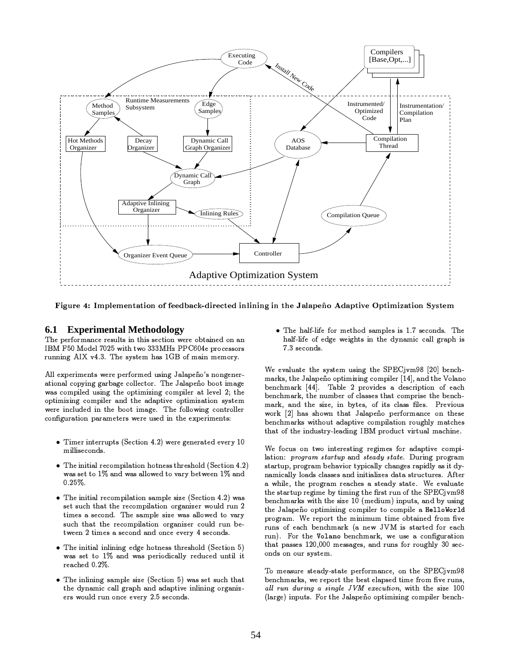

Figure 4: Implementation of feedback-directed inlining in the Jalapeño Adaptive Optimization System

### **Experimental Methodology** 6.1

The performance results in this section were obtained on an IBM F50 Model 7025 with two 333MHz PPC604e processors running AIX v4.3. The system has 1GB of main memory.

All experiments were performed using Jalapeño's nongenerational copying garbage collector. The Jalapeño boot image was compiled using the optimizing compiler at level 2; the optimizing compiler and the adaptive optimization system were included in the boot image. The following controller configuration parameters were used in the experiments:

- Timer interrupts (Section 4.2) were generated every 10 milliseconds.
- The initial recompilation hotness threshold (Section 4.2) was set to 1% and was allowed to vary between 1% and  $0.25\%$ .
- $\bullet$  The initial recompilation sample size (Section 4.2) was set such that the recompilation organizer would run 2 times a second. The sample size was allowed to vary such that the recompilation organizer could run between 2 times a second and once every 4 seconds.
- The initial inlining edge hotness threshold (Section 5) was set to 1% and was periodically reduced until it reached 0.2%.
- $\bullet$  The inlining sample size (Section 5) was set such that the dynamic call graph and adaptive inlining organizers would run once every 2.5 seconds.

• The half-life for method samples is 1.7 seconds. The half-life of edge weights in the dynamic call graph is 7.3 seconds.

We evaluate the system using the SPECjvm98 [20] benchmarks, the Jalapeño optimizing compiler [14], and the Volano benchmark [44]. Table 2 provides a description of each benchmark, the number of classes that comprise the benchmark, and the size, in bytes, of its class files. Previous work [2] has shown that Jalapeño performance on these benchmarks without adaptive compilation roughly matches that of the industry-leading IBM product virtual machine.

We focus on two interesting regimes for adaptive compilation: program startup and steady state. During program startup, program behavior typically changes rapidly as it dynamically loads classes and initializes data structures. After a while, the program reaches a steady state. We evaluate the startup regime by timing the first run of the SPECjvm98 benchmarks with the size 10 (medium) inputs, and by using the Jalapeño optimizing compiler to compile a HelloWorld program. We report the minimum time obtained from five runs of each benchmark (a new JVM is started for each run). For the Volano benchmark, we use a configuration that passes 120,000 messages, and runs for roughly 30 seconds on our system.

To measure steady-state performance, on the SPECjvm98 benchmarks, we report the best elapsed time from five runs, all run during a single JVM execution, with the size 100 (large) inputs. For the Jalapeño optimizing compiler bench-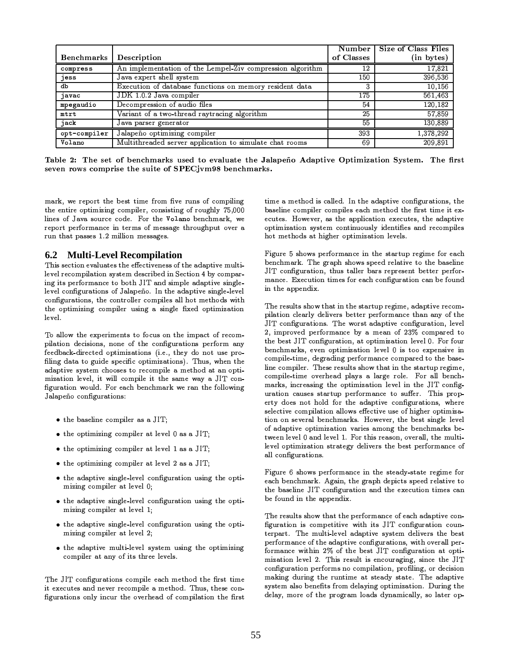|              |                                                           | Number I   | Size of Class Files |
|--------------|-----------------------------------------------------------|------------|---------------------|
| Benchmarks   | Description                                               | of Classes | (in bytes)          |
| compress     | An implementation of the Lempel-Ziv compression algorithm | 12         | 17,821              |
| jess         | Java expert shell system                                  | 150        | 396,536             |
| db           | Execution of database functions on memory resident data   | 3          | 10,156              |
| javac        | JDK 1.0.2 Java compiler                                   | 175        | 561,463             |
| mpegaudio    | Decompression of audio files                              | 54         | 120,182             |
| mtrt         | Variant of a two-thread raytracing algorithm              | 25         | 57.859              |
| jack         | Java parser generator                                     | 55         | 130,889             |
| opt-compiler | Jalapeño optimizing compiler                              | 393        | 1,378,292           |
| Volano       | Multithreaded server application to simulate chat rooms   | 69         | 209.891             |

Table 2: The set of benchmarks used to evaluate the Jalapeño Adaptive Optimization System. The first seven rows comprise the suite of SPECjvm98 benchmarks.

mark, we report the best time from five runs of compiling the entire optimizing compiler, consisting of roughly 75,000 lines of Java source code. For the Volano benchmark, we report performance in terms of message throughput over a run that passes 1.2 million messages.

### $6.2$ **Multi-Level Recompilation**

This section evaluates the effectiveness of the adaptive multilevel recompilation system described in Section 4 by comparing its performance to both JIT and simple adaptive singlelevel configurations of Jalapeño. In the adaptive single-level configurations, the controller compiles all hot methods with the optimizing compiler using a single fixed optimization level.

To allow the experiments to focus on the impact of recompilation decisions, none of the configurations perform any feedback-directed optimizations (i.e., they do not use profiling data to guide specific optimizations). Thus, when the adaptive system chooses to recompile a method at an optimization level, it will compile it the same way a JIT configuration would. For each benchmark we ran the following Jalapeño configurations:

- $\bullet$  the baseline compiler as a JIT;
- $\bullet$  the optimizing compiler at level 0 as a JIT;
- $\bullet$  the optimizing compiler at level 1 as a JIT;
- $\bullet$  the optimizing compiler at level 2 as a JIT;
- the adaptive single-level configuration using the optimizing compiler at level 0;
- the adaptive single-level configuration using the optimizing compiler at level 1;
- the adaptive single-level configuration using the optimizing compiler at level 2;
- the adaptive multi-level system using the optimizing compiler at any of its three levels.

The JIT configurations compile each method the first time it executes and never recompile a method. Thus, these configurations only incur the overhead of compilation the first

time a method is called. In the adaptive configurations, the baseline compiler compiles each method the first time it executes. However, as the application executes, the adaptive optimization system continuously identifies and recompiles hot methods at higher optimization levels.

Figure 5 shows performance in the startup regime for each benchmark. The graph shows speed relative to the baseline JIT configuration, thus taller bars represent better performance. Execution times for each configuration can be found in the appendix.

The results show that in the startup regime, adaptive recompilation clearly delivers better performance than any of the JIT configurations. The worst adaptive configuration, level 2, improved performance by a mean of  $23\%$  compared to the best JIT configuration, at optimization level 0. For four benchmarks, even optimization level 0 is too expensive in compile-time, degrading performance compared to the baseline compiler. These results show that in the startup regime, compile-time overhead plays a large role. For all benchmarks, increasing the optimization level in the JIT configuration causes startup performance to suffer. This property does not hold for the adaptive configurations, where selective compilation allows effective use of higher optimization on several benchmarks. However, the best single level of adaptive optimization varies among the benchmarks between level 0 and level 1. For this reason, overall, the multilevel optimization strategy delivers the best performance of all configurations.

Figure 6 shows performance in the steady-state regime for each benchmark. Again, the graph depicts speed relative to the baseline JIT configuration and the execution times can be found in the appendix.

The results show that the performance of each adaptive configuration is competitive with its JIT configuration counterpart. The multi-level adaptive system delivers the best performance of the adaptive configurations, with overall performance within 2% of the best JIT configuration at optimization level 2. This result is encouraging, since the JIT configuration performs no compilation, profiling, or decision making during the runtime at steady state. The adaptive system also benefits from delaying optimization. During the delay, more of the program loads dynamically, so later op-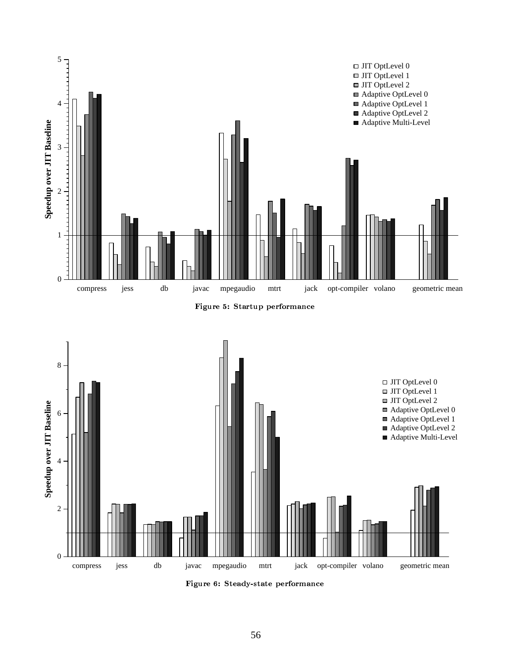





Figure 6: Steady-state performance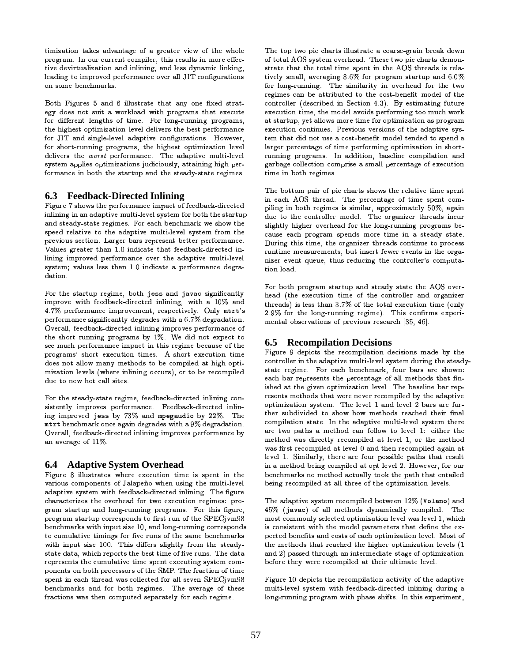timization takes advantage of a greater view of the whole program. In our current compiler, this results in more effective devirtualization and inlining, and less dynamic linking, leading to improved performance over all JIT configurations on some benchmarks.

Both Figures 5 and 6 illustrate that any one fixed strategy does not suit a workload with programs that execute for different lengths of time. For long-running programs, the highest optimization level delivers the best performance for JIT and single-level adaptive configurations. However, for short-running programs, the highest optimization level delivers the worst performance. The adaptive multi-level system applies optimizations judiciously, attaining high performance in both the startup and the steady-state regimes.

## 6.3 Feedback-Directed Inlining

Figure 7 shows the performance impact of feedback-directed inlining in an adaptive multi-level system for both the startup and steady-state regimes. For each benchmark we show the speed relative to the adaptive multi-level system from the previous section. Larger bars represent better performance. Values greater than 1.0 indicate that feedback-directed inlining improved performance over the adaptive multi-level system; values less than 1.0 indicate a performance degradation.

For the startup regime, both jess and javac significantly improve with feedback-directed inlining, with a 10% and 4.7% performance improvement, respectively. Only mtrt's performance significantly degrades with a 6.7% degradation. Overall, feedback-directed inlining improves performance of the short running programs by 1%. We did not expect to see much performance impact in this regime because of the programs' short execution times. A short execution time does not allow many methods to be compiled at high optimization levels (where inlining occurs), or to be recompiled due to new hot call sites.

For the steady-state regime, feedback-directed inlining consistently improves performance. Feedback-directed inlining improved jess by 73% and mpegaudio by 22%. The mtrt benchmark once again degrades with a 9% degradation. Overall, feedback-directed inlining improves performance by an average of 11%.

## **6.4** Adaptive System Overhead

Figure 8 illustrates where execution time is spent in the various components of Jalapeño when using the multi-level adaptive system with feedback-directed inlining. The figure characterizes the overhead for two execution regimes: program startup and long-running programs. For this figure, program startup corresponds to first run of the SPECjvm98 benchmarks with input size 10, and long-running corresponds to cumulative timings for five runs of the same benchmarks with input size 100. This differs slightly from the steadystate data, which reports the best time of five runs. The data represents the cumulative time spent executing system components on both processors of the SMP. The fraction of time spent in each thread was collected for all seven SPECjvm98 benchmarks and for both regimes. The average of these fractions was then computed separately for each regime.

The top two pie charts illustrate a coarse-grain break down of total AOS system overhead. These two pie charts demonstrate that the total time spent in the AOS threads is relatively small, averaging 8.6% for program startup and 6.0% for long-running. The similarity in overhead for the two regimes can be attributed to the cost-benefit model of the controller (described in Section 4.3). By estimating future execution time, the model avoids performing too much work at startup, yet allows more time for optimization as program execution continues. Previous versions of the adaptive system that did not use a cost-benefit model tended to spend a larger percentage of time performing optimization in shortrunning programs. In addition, baseline compilation and garbage collection comprise a small percentage of execution time in both regimes.

The bottom pair of pie charts shows the relative time spent in each AOS thread. The percentage of time spent compiling in both regimes is similar, approximately 50%, again due to the controller model. The organizer threads incur slightly higher overhead for the long-running programs because each program spends more time in a steady state. During this time, the organizer threads continue to process runtime measurements, but insert fewer events in the organizer event queue, thus reducing the controller's computation load.

For both program startup and steady state the AOS overhead (the execution time of the controller and organizer threads) is less than 3.7% of the total execution time (only 2.9% for the long-running regime). This confirms experimental observations of previous research [35, 46].

## **6.5** Recompilation Decisions

Figure 9 depicts the recompilation decisions made by the controller in the adaptive multi-level system during the steadystate regime. For each benchmark, four bars are shown: each bar represents the percentage of all methods that finished at the given optimization level. The baseline bar represents methods that were never recompiled by the adaptive optimization system. The level 1 and level 2 bars are further subdivided to show how methods reached their final compilation state. In the adaptive multi-level system there are two paths a method can follow to level 1: either the method was directly recompiled at level 1, or the method was first recompiled at level 0 and then recompiled again at level 1. Similarly, there are four possible paths that result in a method being compiled at opt level 2. However, for our benchmarks no method actually took the path that entailed being recompiled at all three of the optimization levels.

The adaptive system recompiled between 12% (Volano) and 45% (javac) of all methods dynamically compiled. The most commonly selected optimization level was level 1, which is consistent with the model parameters that define the expected benefits and costs of each optimization level. Most of the methods that reached the higher optimization levels (1) and 2) passed through an intermediate stage of optimization before they were recompiled at their ultimate level.

Figure 10 depicts the recompilation activity of the adaptive multi-level system with feedback-directed inlining during a long-running program with phase shifts. In this experiment,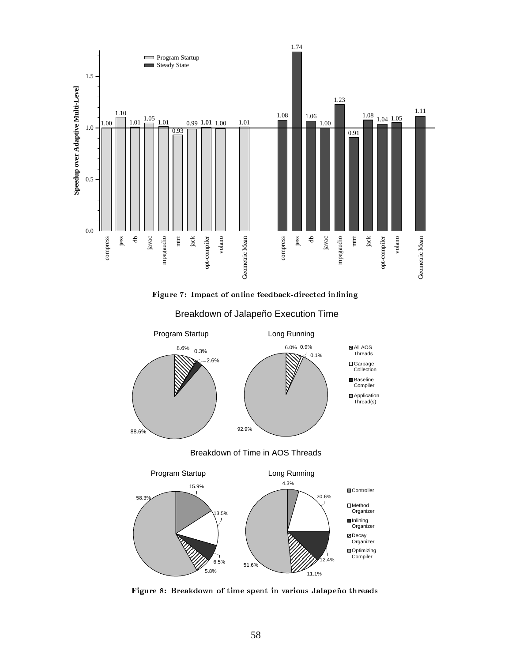

=CZ4Q 8¡s¢£¢y¤C¥¤¦£§88¨/© eª« ¨/) 8 8¡ 8¨E¤C¥¤CW¤



Breakdown of Jalapeño Execution Time

'WyC ¬ssZ8ª¨C¢®¦¤¢£4¡\*¯C¤¡¤°W¢y¯4±C¥Wz6²¤¢Q¡³C 8¨C¯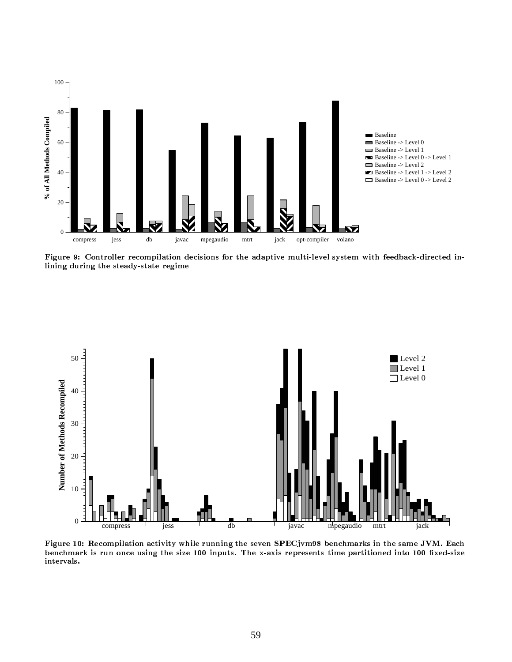

Figure 9: Controller recompilation decisions for the adaptive multi-level system with feedback-directed inlining during the steady-state regime



Figure 10: Recompilation activity while running the seven SPECjvm98 benchmarks in the same JVM. Each benchmark is run once using the size 100 inputs. The x-axis represents time partitioned into 100 fixed-size intervals.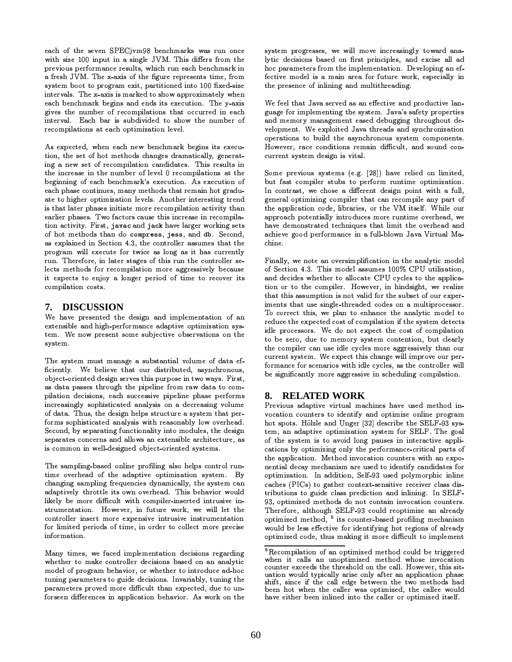each of the seven SPECjvm98 benchmarks was run once with size 100 input in a single JVM. This differs from the previous performance results, which run each benchmark in a fresh JVM. The x-axis of the figure represents time, from system boot to program exit, partitioned into 100 fixed-size intervals. The x-axis is marked to show approximately when each benchmark begins and ends its execution. The y-axis gives the number of recompilations that occurred in each interval. Each bar is subdivided to show the number of recompilations at each optimization level.

As expected, when each new benchmark begins its execution, the set of hot methods changes dramatically, generating a new set of recompilation candidates. This results in the increase in the number of level 0 recompilations at the beginning of each benchmark's execution. As execution of each phase continues, many methods that remain hot graduate to higher optimization levels. Another interesting trend is that later phases initiate more recompilation activity than earlier phases. Two factors cause this increase in recompilation activity. First, javac and jack have larger working sets of hot methods than do compress, jess, and db. Second, as explained in Section 4.3, the controller assumes that the program will execute for twice as long as it has currently run. Therefore, in later stages of this run the controller selects methods for recompilation more aggressively because it expects to enjoy a longer period of time to recover its compilation costs.

## 7. DISCUSSION

We have presented the design and implementation of an extensible and high-performance adaptive optimization system. We now present some subjective observations on the system.

The system must manage a substantial volume of data efficiently. We believe that our distributed, asynchronous, object-oriented design serves this purpose in two ways. First, as data passes through the pipeline from raw data to compilation decisions, each successive pipeline phase performs increasingly sophisticated analysis on a decreasing volume of data. Thus, the design helps structure a system that performs sophisticated analysis with reasonably low overhead. Second, by separating functionality into modules, the design separates concerns and allows an extensible architecture, as is common in well-designed object-oriented systems.

The sampling-based online profiling also helps control runtime overhead of the adaptive optimization system. By changing sampling frequencies dynamically, the system can adaptively throttle its own overhead. This behavior would likely be more difficult with compiler-inserted intrusive instrumentation. However, in future work, we will let the controller insert more expensive intrusive instrumentation for limited periods of time, in order to collect more precise information.

Many times, we faced implementation decisions regarding whether to make controller decisions based on an analytic model of program behavior, or whether to introduce ad-hoc tuning parameters to guide decisions. Invariably, tuning the parameters proved more difficult than expected, due to unforseen differences in application behavior. As work on the

system progresses, we will move increasingly toward analytic decisions based on first principles, and excise all ad hoc parameters from the implementation. Developing an effective model is a main area for future work, especially in the presence of inlining and multithreading.

We feel that Java served as an effective and productive language for implementing the system. Java's safety properties and memory management eased debugging throughout development. We exploited Java threads and synchronization operations to build the asynchronous system components. However, race conditions remain difficult, and sound concurrent system design is vital.

Some previous systems (e.g. [28]) have relied on limited, but fast compiler stubs to perform runtime optimization. In contrast, we chose a different design point with a full, general optimizing compiler that can recompile any part of the application code, libraries, or the VM itself. While our approach potentially introduces more runtime overhead, we have demonstrated techniques that limit the overhead and achieve good performance in a full-blown Java Virtual Machine.

Finally, we note an oversimplification in the analytic model of Section 4.3. This model assumes 100% CPU utilization, and decides whether to allocate CPU cycles to the application or to the compiler. However, in hindsight, we realize that this assumption is not valid for the subset of our experiments that use single-threaded codes on a multiprocessor. To correct this, we plan to enhance the analytic model to reduce the expected cost of compilation if the system detects idle processors. We do not expect the cost of compilation to be zero, due to memory system contention, but clearly the compiler can use idle cycles more aggressively than our current system. We expect this change will improve our performance for scenarios with idle cycles, as the controller will be significantly more aggressive in scheduling compilation.

### **RELATED WORK** 8.

Previous adaptive virtual machines have used method invocation counters to identify and optimize online program hot spots. Hölzle and Unger [32] describe the SELF-93 system, an adaptive optimization system for SELF. The goal of the system is to avoid long pauses in interactive applications by optimizing only the performance-critical parts of the application. Method invocation counters with an exponential decay mechanism are used to identify candidates for optimization. In addition, Self-93 used polymorphic inline caches (PICs) to gather context-sensitive receiver class distributions to guide class prediction and inlining. In SELF-93, optimized methods do not contain invocation counters. Therefore, although SELF-93 could reoptimize an already optimized method, <sup>5</sup> its counter-based profiling mechanism would be less effective for identifying hot regions of already optimized code, thus making it more difficult to implement

<sup>&</sup>lt;sup>5</sup>Recompilation of an optimized method could be triggered when it calls an unoptimized method whose invocation<br>counter exceeds the threshold on the call. However, this situation would typically arise only after an application phase shift, since if the call edge between the two methods had been hot when the caller was optimized, the callee would have either been inlined into the caller or optimized itself.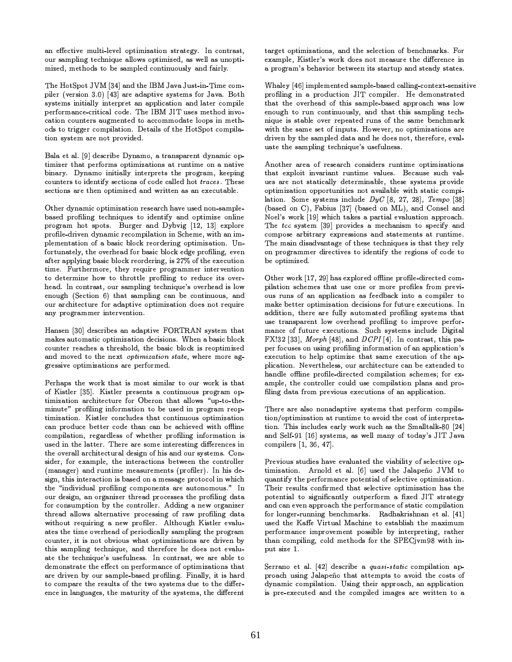an effective multi-level optimization strategy. In contrast, our sampling technique allows optimized, as well as unoptimized, methods to be sampled continuously and fairly.

The HotSpot JVM [34] and the IBM Java Just-in-Time compiler (version 3.0) [43] are adaptive systems for Java. Both systems initially interpret an application and later compile performance-critical code. The IBM JIT uses method invocation counters augmented to accommodate loops in methods to trigger compilation. Details of the HotSpot compilation system are not provided.

Bala et al. [9] describe Dynamo, a transparent dynamic optimizer that performs optimizations at runtime on a native binary. Dynamo initially interprets the program, keeping counters to identify sections of code called hot traces. These sections are then optimized and written as an executable.

Other dynamic optimization research have used non-samplebased profiling techniques to identify and optimize online program hot spots. Burger and Dybvig [12, 13] explore profile-driven dynamic recompilation in Scheme, with an implementation of a basic block reordering optimization. Unfortunately, the overhead for basic block edge profiling, even after applying basic block reordering, is 27% of the execution time. Furthermore, they require programmer intervention to determine how to throttle profiling to reduce its overhead. In contrast, our sampling technique's overhead is low enough (Section 6) that sampling can be continuous, and our architecture for adaptive optimization does not require any programmer intervention.

Hansen [30] describes an adaptive FORTRAN system that makes automatic optimization decisions. When a basic block counter reaches a threshold, the basic block is reoptimized and moved to the next *optimization* state, where more aggressive optimizations are performed.

Perhaps the work that is most similar to our work is that of Kistler [35]. Kistler presents a continuous program optimization architecture for Oberon that allows "up-to-theminute" profiling information to be used in program reoptimization. Kistler concludes that continuous optimization can produce better code than can be achieved with offline compilation, regardless of whether profiling information is used in the latter. There are some interesting differences in the overall architectural design of his and our systems. Consider, for example, the interactions between the controller (manager) and runtime measurements (profiler). In his design, this interaction is based on a message protocol in which the "individual profiling components are autonomous." In our design, an organizer thread processes the profiling data for consumption by the controller. Adding a new organizer thread allows alternative processing of raw profiling data without requiring a new profiler. Although Kistler evaluates the time overhead of periodically sampling the program counter, it is not obvious what optimizations are driven by this sampling technique, and therefore he does not evaluate the technique's usefulness. In contrast, we are able to demonstrate the effect on performance of optimizations that are driven by our sample-based profiling. Finally, it is hard to compare the results of the two systems due to the difference in languages, the maturity of the systems, the different target optimizations, and the selection of benchmarks. For example, Kistler's work does not measure the difference in a program's behavior between its startup and steady states.

Whaley [46] implemented sample-based calling-context-sensitive profiling in a production JIT compiler. He demonstrated that the overhead of this sample-based approach was low enough to run continuously, and that this sampling technique is stable over repeated runs of the same benchmark with the same set of inputs. However, no optimizations are driven by the sampled data and he does not, therefore, evaluate the sampling technique's usefulness.

Another area of research considers runtime optimizations that exploit invariant runtime values. Because such values are not statically determinable, these systems provide optimization opportunities not available with static compilation. Some systems include  $DyC$  [8, 27, 28], Tempo [38] (based on C), Fabius [37] (based on ML), and Consel and Noel's work [19] which takes a partial evaluation approach. The tcc system [39] provides a mechanism to specify and compose arbitrary expressions and statements at runtime. The main disadvantage of these techniques is that they rely on programmer directives to identify the regions of code to be optimized.

Other work [17, 29] has explored offline profile-directed compilation schemes that use one or more profiles from previous runs of an application as feedback into a compiler to make better optimization decisions for future executions. In addition, there are fully automated profiling systems that use transparent low overhead profiling to improve performance of future executions. Such systems include Digital FX!32 [33], Morph [48], and  $D\,CPI$  [4]. In contrast, this paper focuses on using profiling information of an application's execution to help optimize that same execution of the application. Nevertheless, our architecture can be extended to handle offline profile-directed compilation schemes; for example, the controller could use compilation plans and profiling data from previous executions of an application.

There are also nonadaptive systems that perform compilation/optimization at runtime to avoid the cost of interpretation. This includes early work such as the Smalltalk-80 [24] and Self-91 [16] systems, as well many of today's JIT Java compilers [1, 36, 47].

Previous studies have evaluated the viability of selective optimization. Arnold et al. [6] used the Jalapeño JVM to quantify the performance potential of selective optimization. Their results confirmed that selective optimization has the potential to significantly outperform a fixed JIT strategy and can even approach the performance of static compilation for longer-running benchmarks. Radhakrishnan et al. [41] used the Kaffe Virtual Machine to establish the maximum performance improvement possible by interpreting, rather than compiling, cold methods for the SPECjvm98 with input size 1.

Serrano et al. [42] describe a quasi-static compilation approach using Jalapeño that attempts to avoid the costs of dynamic compilation. Using their approach, an application is pre-executed and the compiled images are written to a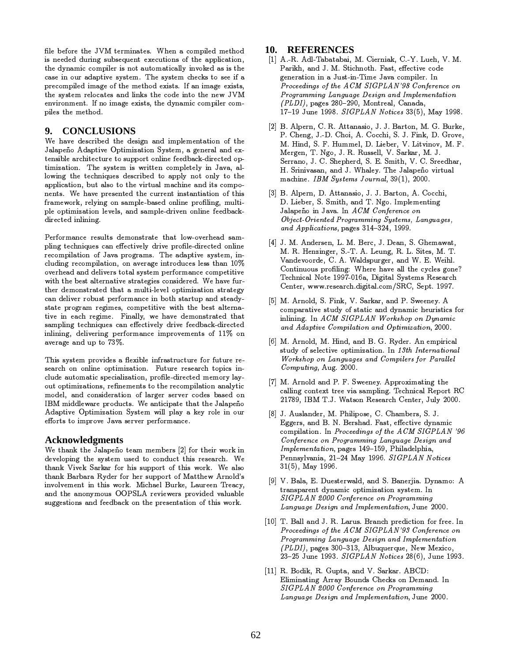file before the JVM terminates. When a compiled method is needed during subsequent executions of the application, the dynamic compiler is not automatically invoked as is the case in our adaptive system. The system checks to see if a precompiled image of the method exists. If an image exists, the system relocates and links the code into the new JVM environment. If no image exists, the dynamic compiler compiles the method.

### 9. **CONCLUSIONS**

We have described the design and implementation of the Jalapeño Adaptive Optimization System, a general and extensible architecture to support online feedback-directed optimization. The system is written completely in Java, allowing the techniques described to apply not only to the application, but also to the virtual machine and its components. We have presented the current instantiation of this framework, relying on sample-based online profiling, multiple optimization levels, and sample-driven online feedbackdirected inlining.

Performance results demonstrate that low-overhead sampling techniques can effectively drive profile-directed online recompilation of Java programs. The adaptive system, including recompilation, on average introduces less than 10% overhead and delivers total system performance competitive with the best alternative strategies considered. We have further demonstrated that a multi-level optimization strategy can deliver robust performance in both startup and steadystate program regimes, competitive with the best alternative in each regime. Finally, we have demonstrated that sampling techniques can effectively drive feedback-directed inlining, delivering performance improvements of 11% on average and up to 73%.

This system provides a flexible infrastructure for future research on online optimization. Future research topics include automatic specialization, profile-directed memory layout optimizations, refinements to the recompilation analytic model, and consideration of larger server codes based on IBM middleware products. We anticipate that the Jalapeño Adaptive Optimization System will play a key role in our efforts to improve Java server performance.

### **Acknowledgments**

We thank the Jalapeño team members [2] for their work in developing the system used to conduct this research. We thank Vivek Sarkar for his support of this work. We also thank Barbara Ryder for her support of Matthew Arnold's involvement in this work. Michael Burke, Laureen Treacy, and the anonymous OOPSLA reviewers provided valuable suggestions and feedback on the presentation of this work.

## 10. REFERENCES

- [1] A.-R. Adl-Tabatabai, M. Cierniak, C.-Y. Lueh, V. M. Parikh, and J. M. Stichnoth. Fast, effective code generation in a Just-in-Time Java compiler. In Proceedings of the ACM SIGPLAN'98 Conference on Programming Language Design and Implementation (PLDI), pages 280-290, Montreal, Canada, 17-19 June 1998. SIGPLAN Notices 33(5), May 1998.
- [2] B. Alpern, C. R. Attanasio, J. J. Barton, M. G. Burke, P. Cheng, J.-D. Choi, A. Cocchi, S. J. Fink, D. Grove, M. Hind. S. F. Hummel. D. Lieber. V. Litvinov. M. F. Mergen, T. Ngo, J. R. Russell, V. Sarkar, M. J. Serrano, J. C. Shepherd, S. E. Smith, V. C. Sreedhar, H. Srinivasan, and J. Whaley. The Jalapeño virtual machine. IBM Systems Journal, 39(1), 2000.
- [3] B. Alpern, D. Attanasio, J. J. Barton, A. Cocchi, D. Lieber, S. Smith, and T. Ngo. Implementing Jalapeño in Java. In ACM Conference on Object-Oriented Programming Systems, Languages, and Applications, pages 314-324, 1999.
- [4] J. M. Andersen, L. M. Berc, J. Dean, S. Ghemawat, M. R. Henzinger, S.-T. A. Leung, R. L. Sites, M. T. Vandevoorde, C. A. Waldspurger, and W. E. Weihl. Continuous profiling: Where have all the cycles gone? Technical Note 1997-016a, Digital Systems Research Center, www.research.digital.com/SRC, Sept. 1997.
- [5] M. Arnold, S. Fink, V. Sarkar, and P. Sweeney. A comparative study of static and dynamic heuristics for inlining. In ACM SIGPLAN Workshop on Dynamic and Adaptive Compilation and Optimization, 2000.
- [6] M. Arnold, M. Hind, and B. G. Ryder. An empirical study of selective optimization. In 13th International Workshop on Languages and Compilers for Parallel Computing, Aug. 2000.
- [7] M. Arnold and P. F. Sweeney. Approximating the calling context tree via sampling. Technical Report RC 21789, IBM T.J. Watson Research Center, July 2000.
- [8] J. Auslander, M. Philipose, C. Chambers, S. J. Eggers, and B. N. Bershad. Fast, effective dynamic compilation. In Proceedings of the ACM SIGPLAN '96 Conference on Programming Language Design and Implementation, pages 149-159, Philadelphia, Pennsylvania, 21-24 May 1996. SIGPLAN Notices  $31(5)$ , May 1996.
- [9] V. Bala, E. Duesterwald, and S. Banerjia. Dynamo: A transparent dynamic optimization system. In SIGPLAN 2000 Conference on Programming Language Design and Implementation, June 2000.
- [10] T. Ball and J. R. Larus. Branch prediction for free. In Proceedings of the ACM SIGPLAN'93 Conference on Programming Language Design and Implementation (PLDI), pages 300-313, Albuquerque, New Mexico, 23-25 June 1993. SIGPLAN Notices 28(6), June 1993.
- [11] R. Bodik, R. Gupta, and V. Sarkar. ABCD: Eliminating Array Bounds Checks on Demand. In SIGPLAN 2000 Conference on Programming Language Design and Implementation, June 2000.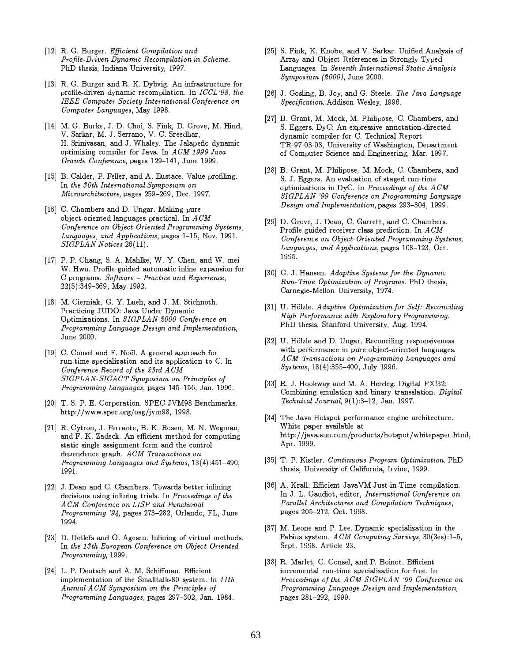- [12] R. G. Burger. Efficient Compilation and Profile-Driven Dynamic Recompilation in Scheme. PhD thesis, Indiana University, 1997.
- [13] R. G. Burger and R. K. Dybvig. An infrastructure for profile-driven dynamic recompilation. In ICCL'98, the IEEE Computer Society International Conference on Computer Languages, May 1998.
- [14] M. G. Burke, J.-D. Choi, S. Fink, D. Grove, M. Hind, V. Sarkar, M. J. Serrano, V. C. Sreedhar, H. Srinivasan, and J. Whaley. The Jalapeño dynamic optimizing compiler for Java. In ACM 1999 Java Grande Conference, pages 129-141, June 1999.
- [15] B. Calder, P. Feller, and A. Eustace. Value profiling. In the 30th International Symposium on Microarchitecture, pages 259-269, Dec. 1997.
- [16] C. Chambers and D. Ungar. Making pure object-oriented languages practical. In  $ACM$ Conference on Object-Oriented Programming Systems, Languages, and Applications, pages 1-15, Nov. 1991. SIGPLAN Notices 26(11).
- [17] P. P. Chang, S. A. Mahlke, W. Y. Chen, and W. mei W. Hwu. Profile-guided automatic inline expansion for  $C$  programs. Software - Practice and Experience,  $22(5):349-369$ , May 1992.
- [18] M. Cierniak, G.-Y. Lueh, and J. M. Stichnoth. Practicing JUDO: Java Under Dynamic Optimizations. In SIGPLAN 2000 Conference on Programming Language Design and Implementation, June 2000.
- [19] C. Consel and F. Noël. A general approach for run-time specialization and its application to C. In Conference Record of the 23rd ACM SIGPLAN-SIGACT Symposium on Principles of Programming Languages, pages 145-156, Jan. 1996.
- [20] T. S. P. E. Corporation. SPEC JVM98 Benchmarks. http://www.spec.org/osg/jvm98, 1998.
- [21] R. Cytron, J. Ferrante, B. K. Rosen, M. N. Wegman, and F. K. Zadeck. An efficient method for computing static single assignment form and the control dependence graph. ACM Transactions on Programming Languages and Systems, 13(4):451-490, 1991.
- [22] J. Dean and C. Chambers. Towards better inlining decisions using inlining trials. In Proceedings of the ACM Conference on LISP and Functional Programming '94, pages 273-282, Orlando, FL, June 1994.
- [23] D. Detlefs and O. Agesen. Inlining of virtual methods. In the 13th European Conference on Object Oriented Programming, 1999.
- [24] L. P. Deutsch and A. M. Schiffman. Efficient implementation of the Smalltalk-80 system. In 11th Annual ACM Symposium on the Principles of Programming Languages, pages 297-302, Jan. 1984.
- [25] S. Fink, K. Knobe, and V. Sarkar. Unified Analysis of Array and Object References in Strongly Typed Languages. In Seventh International Static Analysis  $Symposing(2000)$ , June 2000.
- [26] J. Gosling, B. Joy, and G. Steele. The Java Language Specification. Addison Wesley, 1996.
- [27] B. Grant, M. Mock, M. Philipose, C. Chambers, and S. Eggers. DyC: An expressive annotation-directed dynamic compiler for C. Technical Report TR-97-03-03, University of Washington, Department of Computer Science and Engineering, Mar. 1997.
- [28] B. Grant, M. Philipose, M. Mock, C. Chambers, and S. J. Eggers. An evaluation of staged run-time optimizations in DyC. In Proceedings of the ACM SIGPLAN '99 Conference on Programming Language Design and Implementation, pages 293-304, 1999.
- [29] D. Grove, J. Dean, C. Garrett, and C. Chambers. Profile-guided receiver class prediction. In ACM Conference on Object-Oriented Programming Systems, Languages, and Applications, pages 108-123, Oct. 1995.
- [30] G. J. Hansen. Adaptive Systems for the Dynamic Run-Time Optimization of Programs. PhD thesis, Carnegie-Mellon University, 1974.
- [31] U. Hölzle. Adaptive Optimization for Self: Reconciling High Performance with Exploratory Programming. PhD thesis, Stanford University, Aug. 1994.
- [32] U. Hölzle and D. Ungar. Reconciling responsiveness with performance in pure object-oriented languages. ACM Transactions on Programming Languages and Systems, 18(4):355-400, July 1996.
- [33] R. J. Hookway and M. A. Herdeg. Digital FX!32: Combining emulation and binary transslation. Digital Technical Journal,  $9(1):3-12$ , Jan. 1997.
- [34] The Java Hotspot performance engine architecture. White paper available at http://java.sun.com/products/hotspot/whitepaper.html, Apr. 1999.
- [35] T. P. Kistler. Continuous Program Optimization. PhD thesis, University of California, Irvine, 1999.
- [36] A. Krall. Efficient JavaVM Just-in-Time compilation. In J.-L. Gaudiot, editor, International Conference on Parallel Architectures and Compilation Techniques, pages 205-212, Oct. 1998.
- [37] M. Leone and P. Lee. Dynamic specialization in the Fabius system. ACM Computing Surveys, 30(3es):1-5, Sept. 1998. Article 23.
- [38] R. Marlet, C. Consel, and P. Boinot. Efficient incremental run-time specialization for free. In Proceedings of the ACM SIGPLAN '99 Conference on Programming Language Design and Implementation, pages 281-292, 1999.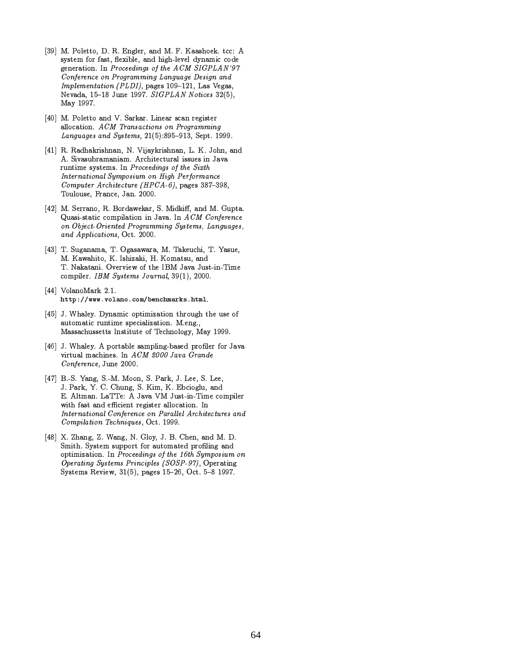- [39] M. Poletto, D. R. Engler, and M. F. Kaashoek. tcc: A system for fast, flexible, and high-level dynamic code generation. In Proceedings of the ACM SIGPLAN'97 Conference on Programming Language Design and Implementation (PLDI), pages 109-121, Las Vegas, Nevada, 15-18 June 1997. SIGPLAN Notices 32(5), May 1997.
- [40] M. Poletto and V. Sarkar. Linear scan register allocation. ACM Transactions on Programming Languages and Systems, 21(5):895-913, Sept. 1999.
- [41] R. Radhakrishnan, N. Vijaykrishnan, L. K. John, and A. Sivasubramaniam. Architectural issues in Java runtime systems. In Proceedings of the Sixth International Symposium on High Performance Computer Architecture (HPCA-6), pages 387-398, Toulouse, France, Jan. 2000.
- [42] M. Serrano, R. Bordawekar, S. Midkiff, and M. Gupta. Quasi-static compilation in Java. In ACM Conference on Object-Oriented Programming Systems, Languages, and Applications, Oct. 2000.
- [43] T. Suganama, T. Ogasawara, M. Takeuchi, T. Yasue, M. Kawahito, K. Ishizaki, H. Komatsu, and T. Nakatani. Overview of the IBM Java Just-in-Time compiler. IBM Systems Journal, 39(1), 2000.
- $[44]$  VolanoMark 2.1. http://www.volano.com/benchmarks.html.
- [45] J. Whaley. Dynamic optimization through the use of automatic runtime specialization. M.eng., Massachussetts Institute of Technology, May 1999.
- [46] J. Whaley. A portable sampling-based profiler for Java virtual machines. In ACM 2000 Java Grande Conference, June 2000.
- [47] B.-S. Yang, S.-M. Moon, S. Park, J. Lee, S. Lee, J. Park, Y. C. Chung, S. Kim, K. Ebcioglu, and E. Altman. LaTTe: A Java VM Just-in-Time compiler with fast and efficient register allocation. In International Conference on Parallel Architectures and Compilation Techniques, Oct. 1999.
- [48] X. Zhang, Z. Wang, N. Gloy, J. B. Chen, and M. D. Smith. System support for automated profiling and optimization. In Proceedings of the 16th Symposium on Operating Systems Principles (SOSP-97), Operating Systems Review, 31(5), pages 15-26, Oct. 5-8 1997.